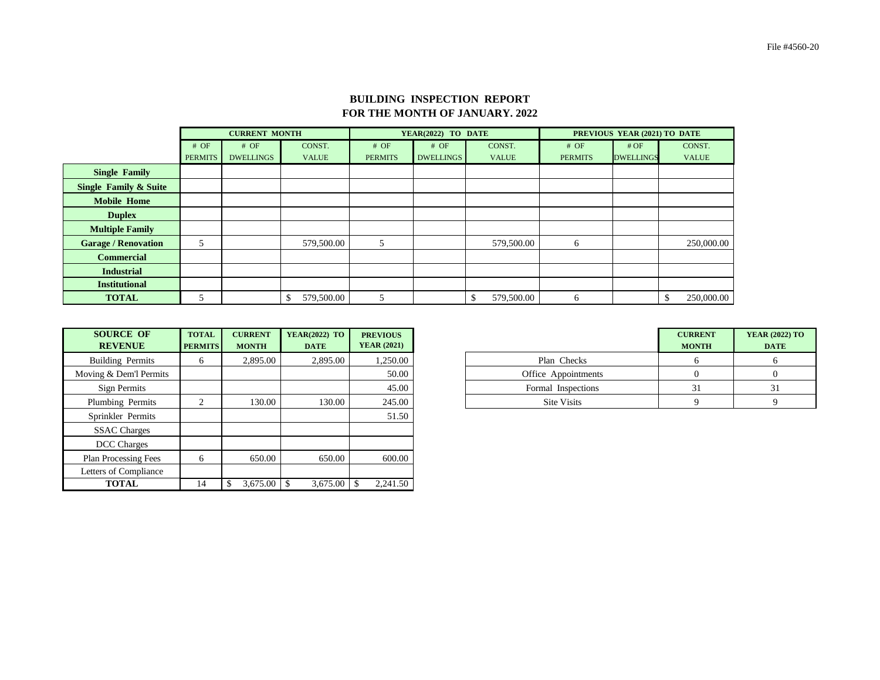## **BUILDING INSPECTION REPORT FOR THE MONTH OF JANUARY. 2022**

|                                  |                | <b>CURRENT MONTH</b> |              |                | YEAR(2022) TO DATE |              | PREVIOUS YEAR (2021) TO DATE |                  |              |  |
|----------------------------------|----------------|----------------------|--------------|----------------|--------------------|--------------|------------------------------|------------------|--------------|--|
|                                  | # OF           | # OF                 | CONST.       | # OF           | # OF               | CONST.       | # OF                         | #OF              | CONST.       |  |
|                                  | <b>PERMITS</b> | <b>DWELLINGS</b>     | <b>VALUE</b> | <b>PERMITS</b> | <b>DWELLINGS</b>   | <b>VALUE</b> | <b>PERMITS</b>               | <b>DWELLINGS</b> | <b>VALUE</b> |  |
| <b>Single Family</b>             |                |                      |              |                |                    |              |                              |                  |              |  |
| <b>Single Family &amp; Suite</b> |                |                      |              |                |                    |              |                              |                  |              |  |
| <b>Mobile Home</b>               |                |                      |              |                |                    |              |                              |                  |              |  |
| <b>Duplex</b>                    |                |                      |              |                |                    |              |                              |                  |              |  |
| <b>Multiple Family</b>           |                |                      |              |                |                    |              |                              |                  |              |  |
| <b>Garage / Renovation</b>       | 5              |                      | 579,500.00   | 5              |                    | 579,500.00   | 6                            |                  | 250,000.00   |  |
| <b>Commercial</b>                |                |                      |              |                |                    |              |                              |                  |              |  |
| <b>Industrial</b>                |                |                      |              |                |                    |              |                              |                  |              |  |
| <b>Institutional</b>             |                |                      |              |                |                    |              |                              |                  |              |  |
| <b>TOTAL</b>                     |                |                      | 579,500.00   | 5              |                    | 579,500.00   | 6                            |                  | 250,000.00   |  |

| <b>SOURCE OF</b><br><b>REVENUE</b> | <b>TOTAL</b><br><b>PERMITS</b> | <b>CURRENT</b><br><b>MONTH</b> | <b>YEAR(2022) TO</b><br><b>DATE</b> | <b>PREVIOUS</b><br><b>YEAR (2021)</b> |
|------------------------------------|--------------------------------|--------------------------------|-------------------------------------|---------------------------------------|
| <b>Building Permits</b>            | 6                              | 2,895.00                       | 2,895.00                            | 1,250.00                              |
| Moving & Dem'l Permits             |                                |                                |                                     | 50.00                                 |
| Sign Permits                       |                                |                                |                                     | 45.00                                 |
| Plumbing Permits                   | $\overline{2}$                 | 130.00                         | 130.00                              | 245.00                                |
| Sprinkler Permits                  |                                |                                |                                     | 51.50                                 |
| <b>SSAC</b> Charges                |                                |                                |                                     |                                       |
| <b>DCC</b> Charges                 |                                |                                |                                     |                                       |
| <b>Plan Processing Fees</b>        | 6                              | 650.00                         | 650.00                              | 600.00                                |
| Letters of Compliance              |                                |                                |                                     |                                       |
| <b>TOTAL</b>                       | 14                             | $3,675.00$ \ \$                | 3,675.00                            | 2,241.50                              |

| <b>SOURCE OF</b><br><b>REVENUE</b> | <b>TOTAL</b><br><b>PERMITS</b> | <b>CURRENT</b><br><b>MONTH</b> | <b>YEAR(2022) TO</b><br><b>DATE</b> | <b>PREVIOUS</b><br><b>YEAR (2021)</b> |
|------------------------------------|--------------------------------|--------------------------------|-------------------------------------|---------------------------------------|
| uilding Permits                    |                                | 2,895.00                       | 2,895.00                            | 1,250.00                              |
| ing & Dem'l Permits                |                                |                                |                                     | 50.00                                 |
| Sign Permits                       |                                |                                |                                     | 45.00                                 |
| lumbing Permits                    |                                | 130.00                         | 130.00                              | 245.00                                |